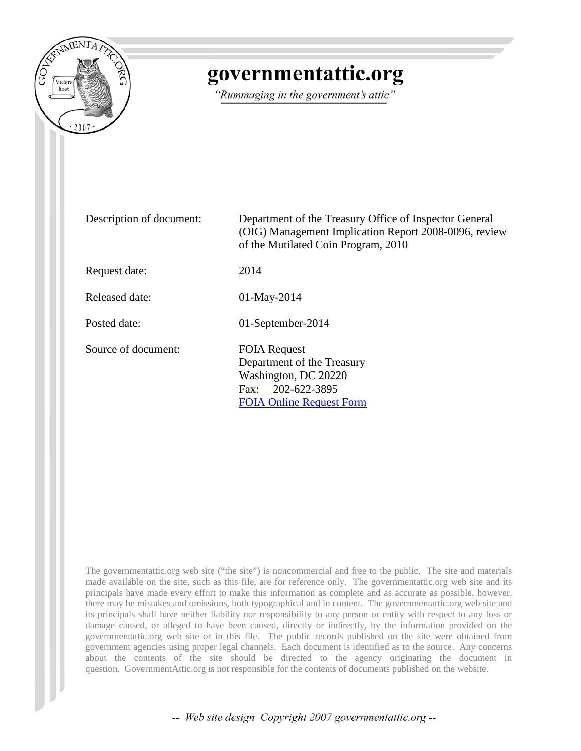

# governmentattic.org

"Rummaging in the government's attic"

| Description of document: | Department of the Treasury Office of Inspector General<br>(OIG) Management Implication Report 2008-0096, review<br>of the Mutilated Coin Program, 2010 |  |
|--------------------------|--------------------------------------------------------------------------------------------------------------------------------------------------------|--|
| Request date:            | 2014                                                                                                                                                   |  |
| Released date:           | $01$ -May-2014                                                                                                                                         |  |
| Posted date:             | 01-September-2014                                                                                                                                      |  |
| Source of document:      | <b>FOIA Request</b><br>Department of the Treasury<br>Washington, DC 20220<br>Fax: 202-622-3895<br><b>FOIA Online Request Form</b>                      |  |

The governmentattic.org web site ("the site") is noncommercial and free to the public. The site and materials made available on the site, such as this file, are for reference only. The governmentattic.org web site and its principals have made every effort to make this information as complete and as accurate as possible, however, there may be mistakes and omissions, both typographical and in content. The governmentattic.org web site and its principals shall have neither liability nor responsibility to any person or entity with respect to any loss or damage caused, or alleged to have been caused, directly or indirectly, by the information provided on the governmentattic.org web site or in this file. The public records published on the site were obtained from government agencies using proper legal channels. Each document is identified as to the source. Any concerns about the contents of the site should be directed to the agency originating the document in question. GovernmentAttic.org is not responsible for the contents of documents published on the website.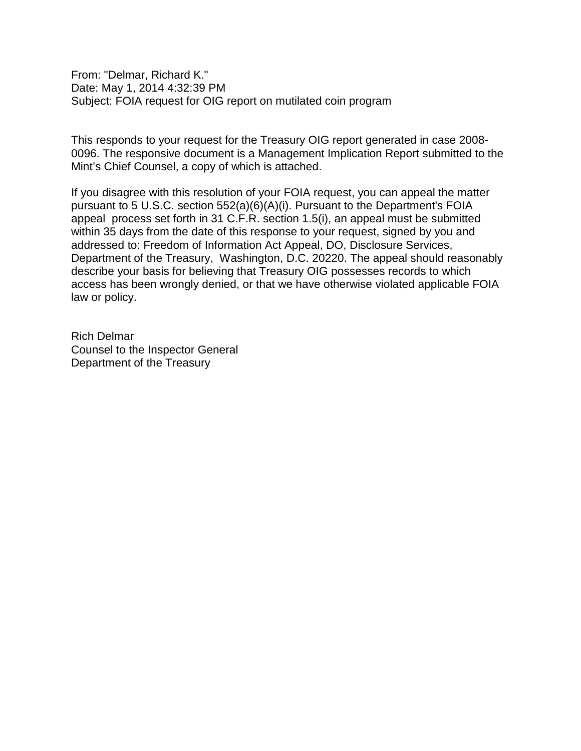From: "Delmar, Richard K." Date: May 1, 2014 4:32:39 PM Subject: FOIA request for OIG report on mutilated coin program

This responds to your request for the Treasury OIG report generated in case 2008- 0096. The responsive document is a Management Implication Report submitted to the Mint's Chief Counsel, a copy of which is attached.

If you disagree with this resolution of your FOIA request, you can appeal the matter pursuant to 5 U.S.C. section 552(a)(6)(A)(i). Pursuant to the Department's FOIA appeal process set forth in 31 C.F.R. section 1.5(i), an appeal must be submitted within 35 days from the date of this response to your request, signed by you and addressed to: Freedom of Information Act Appeal, DO, Disclosure Services, Department of the Treasury, Washington, D.C. 20220. The appeal should reasonably describe your basis for believing that Treasury OIG possesses records to which access has been wrongly denied, or that we have otherwise violated applicable FOIA law or policy.

Rich Delmar Counsel to the Inspector General Department of the Treasury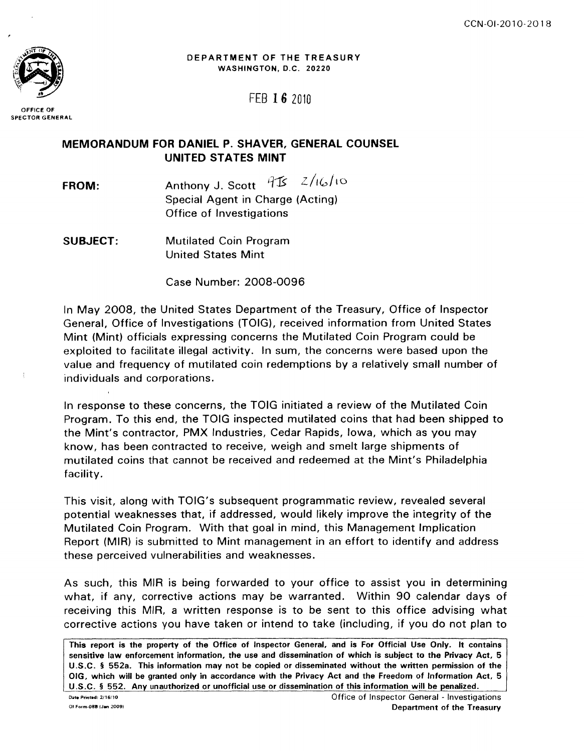

DEPARTMENT OF THE TREASURY WASHINGTON, D.C. 20220

FEB 16 2010

OFFICE OF SPECTOR GENERAL

# **MEMORANDUM FOR DANIEL P. SHAVER, GENERAL COUNSEL UNITED STATES MINT**

- **FROM:**  Anthony J. Scott  $95 - 2/16/10$ Special Agent in Charge (Acting) Office of Investigations
- **SUBJECT:**  Mutilated Coin Program United States Mint

Case Number: 2008-0096

In May 2008, the United States Department of the Treasury, Office of Inspector General, Office of Investigations (TOIG), received information from United States Mint (Mint) officials expressing concerns the Mutilated Coin Program could be exploited to facilitate illegal activity. In sum, the concerns were based upon the value and frequency of mutilated coin redemptions by a relatively small number of individuals and corporations.

In response to these concerns, the TOIG initiated a review of the Mutilated Coin Program. To this end, the TOIG inspected mutilated coins that had been shipped to the Mint's contractor, PMX Industries, Cedar Rapids, Iowa, which as you may know, has been contracted to receive, weigh and smelt large shipments of mutilated coins that cannot be received and redeemed at the Mint's Philadelphia facility.

This visit, along with TOIG's subsequent programmatic review, revealed several potential weaknesses that, if addressed, would likely improve the integrity of the Mutilated Coin Program. With that goal in mind, this Management Implication Report (MIR) is submitted to Mint management in an effort to identify and address these perceived vulnerabilities and weaknesses.

As such, this MIR is being forwarded to your office to assist you in determining what, if any, corrective actions may be warranted. Within 90 calendar days of receiving this MIR, a written response is to be sent to this office advising what corrective actions you have taken or intend to take (including, if you do not plan to

This report is the property of the Office of Inspector General, and is For Official Use Only. It contains sensitive law enforcement information, the use and dissemination of which is subject to the Privacy Act, 5 U.S.C. § 552a. This information may not be copied or disseminated without the written permission of the OIG, which will be granted only in accordance with the Privacy Act and the Freedom of Information Act, 5 U.S.C. § 552. Any unauthorized or unofficial use or dissemination of this information will be penalized.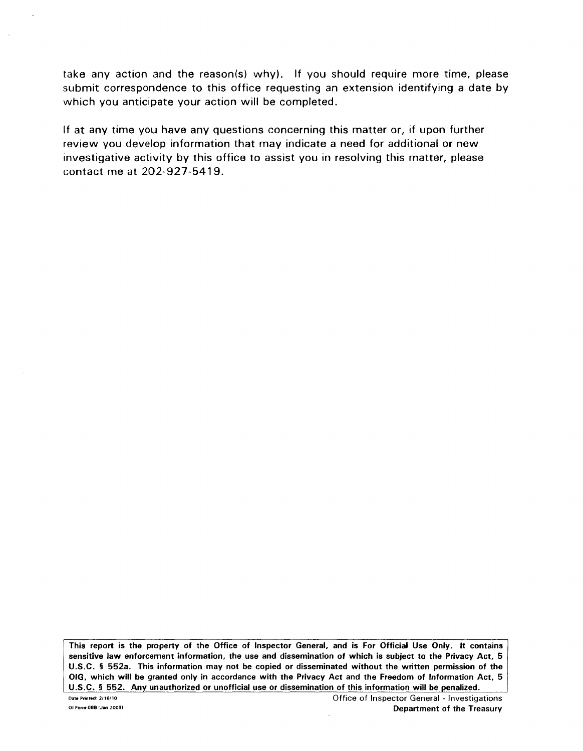take any action and the reason(s) why). If you should require more time, please submit correspondence to this office requesting an extension identifying a date by which you anticipate your action will be completed.

If at any time you have any questions concerning this matter or, if upon further review you develop information that may indicate a need for additional or new investigative activity by this office to assist you in resolving this matter, please contact me at 202-927-5419.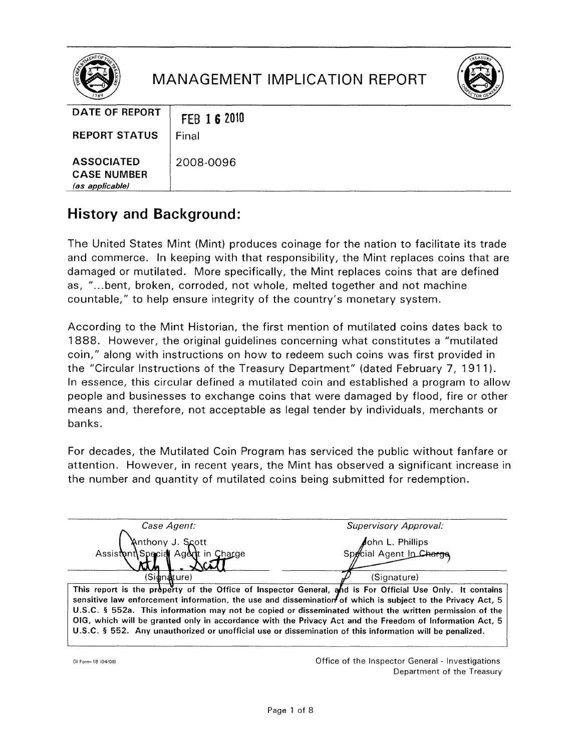

# **MANAGEMENT IMPLICATION REPORT**



| DATE OF REPORT                                             | FEB 16 2010 |
|------------------------------------------------------------|-------------|
| <b>REPORT STATUS</b>                                       | Final       |
| <b>ASSOCIATED</b><br><b>CASE NUMBER</b><br>(as applicable) | 2008-0096   |

# **History and Background:**

The United States Mint (Mint) produces coinage for the nation to facilitate its trade and commerce. In keeping with that responsibility, the Mint replaces coins that are damaged or mutilated. More specifically, the Mint replaces coins that are defined as, "...bent, broken, corroded, not whole, melted together and not machine countable," to help ensure integrity of the country's monetary system.

According to the Mint Historian, the first mention of mutilated coins dates back to 1888. However, the original guidelines concerning what constitutes a "mutilated coin," along with instructions on how to redeem such coins was first provided in the "Circular Instructions of the Treasury Department" (dated February 7, 1911). In essence, this circular defined a mutilated coin and established a program to allow people and businesses to exchange coins that were damaged by flood, fire or other means and, therefore, not acceptable as legal tender by individuals, merchants or banks.

For decades, the Mutilated Coin Program has serviced the public without fanfare or attention. However, in recent years, the Mint has observed a significant increase in the number and quantity of mutilated coins being submitted for redemption.

| Case Agent:                                                                                                                                                                                                                                                                                                                               | Supervisory Approval:                      |
|-------------------------------------------------------------------------------------------------------------------------------------------------------------------------------------------------------------------------------------------------------------------------------------------------------------------------------------------|--------------------------------------------|
| Anthony J. Scott<br>Assistent Special Agent in Charge                                                                                                                                                                                                                                                                                     | ohn L. Phillips<br>Special Agent In Charge |
|                                                                                                                                                                                                                                                                                                                                           |                                            |
| (Sidinaliture)                                                                                                                                                                                                                                                                                                                            | (Signature)                                |
| This report is the property of the Office of Inspector General, and is For Official Use Only. It contains<br>sensitive law enforcement information, the use and dissemination of which is subject to the Privacy Act, $5 \mid$<br>U.S.C. § 552a. This information may not be copied or disseminated without the written permission of the |                                            |

OIG, which will be granted only in accordance with the Privacy Act and the Freedom of Information Act, 5 U.S.C. § 552. Any unauthorized or unofficial use or dissemination of this information will be penalized.

01 Form- 18 (04/08)

Office of the Inspector General - Investigations Department of the Treasury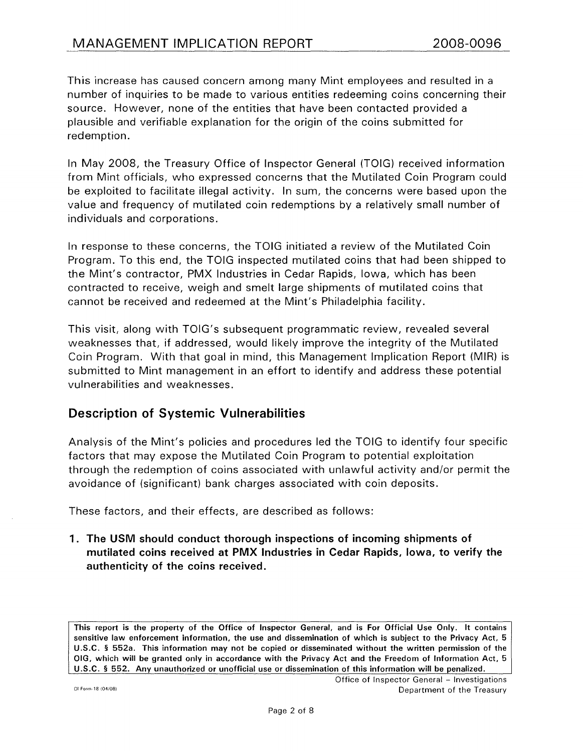This increase has caused concern among many Mint employees and resulted in a number of inquiries to be made to various entities redeeming coins concerning their source. However, none of the entities that have been contacted provided a plausible and verifiable explanation for the origin of the coins submitted for redemption.

In May 2008, the Treasury Office of Inspector General (TOIG) received information from Mint officials, who expressed concerns that the Mutilated Coin Program could be exploited to facilitate illegal activity. In sum, the concerns were based upon the value and frequency of mutilated coin redemptions by a relatively small number of individuals and corporations.

In response to these concerns, the TOIG initiated a review of the Mutilated Coin Program. To this end, the TOIG inspected mutilated coins that had been shipped to the Mint's contractor, PMX Industries in Cedar Rapids, Iowa, which has been contracted to receive, weigh and smelt large shipments of mutilated coins that cannot be received and redeemed at the Mint's Philadelphia facility.

This visit, along with TOIG's subsequent programmatic review, revealed several weaknesses that, if addressed, would likely improve the integrity of the Mutilated Coin Program. With that goal in mind, this Management Implication Report (MIR) is submitted to Mint management in an effort to identify and address these potential vulnerabilities and weaknesses.

# Description of Systemic Vulnerabilities

Analysis of the Mint's policies and procedures led the TOIG to identify four specific factors that may expose the Mutilated Coin Program to potential exploitation through the redemption of coins associated with unlawful activity and/or permit the avoidance of (significant) bank charges associated with coin deposits.

These factors, and their effects, are described as follows:

1. The USM should conduct thorough inspections of incoming shipments of mutilated coins received at PMX Industries in Cedar Rapids, Iowa, to verify the authenticity of the coins received.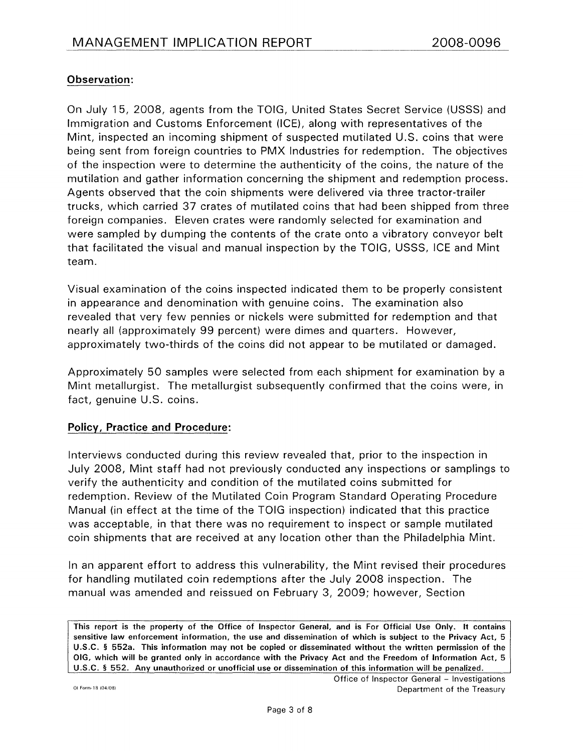# Observation:

On July 15, 2008, agents from the TOIG, United States Secret Service (USSS) and Immigration and Customs Enforcement (ICE), along with representatives of the Mint, inspected an incoming shipment of suspected mutilated U.S. coins that were being sent from foreign countries to PMX Industries for redemption. The objectives of the inspection were to determine the authenticity of the coins, the nature of the mutilation and gather information concerning the shipment and redemption process. Agents observed that the coin shipments were delivered via three tractor-trailer trucks, which carried 37 crates of mutilated coins that had been shipped from three foreign companies. Eleven crates were randomly selected for examination and were sampled by dumping the contents of the crate onto a vibratory conveyor belt that facilitated the visual and manual inspection by the TOIG, USSS, ICE and Mint team.

Visual examination of the coins inspected indicated them to be properly consistent in appearance and denomination with genuine coins. The examination also revealed that very few pennies or nickels were submitted for redemption and that nearly all (approximately 99 percent) were dimes and quarters. However, approximately two-thirds of the coins did not appear to be mutilated or damaged.

Approximately 50 samples were selected from each shipment for examination by a Mint metallurgist. The metallurgist subsequently confirmed that the coins were, in fact, genuine U.S. coins.

# Policy, Practice and Procedure:

Interviews conducted during this review revealed that, prior to the inspection in July 2008, Mint staff had not previously conducted any inspections or samplings to verify the authenticity and condition of the mutilated coins submitted for redemption. Review of the Mutilated Coin Program Standard Operating Procedure Manual (in effect at the time of the TOIG inspection) indicated that this practice was acceptable, in that there was no requirement to inspect or sample mutilated coin shipments that are received at any location other than the Philadelphia Mint.

In an apparent effort to address this vulnerability, the Mint revised their procedures for handling mutilated coin redemptions after the July 2008 inspection. The manual was amended and reissued on February 3, 2009; however, Section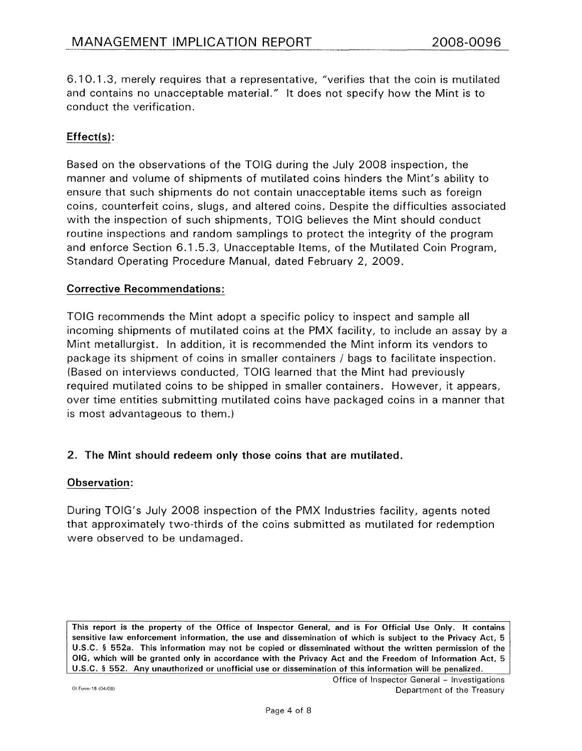6.10.1 .3, merely requires that a representative, "verifies that the coin is mutilated and contains no unacceptable material." It does not specify how the Mint is to conduct the verification.

# Effect(s):

Based on the observations of the TOIG during the July 2008 inspection, the manner and volume of shipments of mutilated coins hinders the Mint's ability to ensure that such shipments do not contain unacceptable items such as foreign coins, counterfeit coins, slugs, and altered coins. Despite the difficulties associated with the inspection of such shipments, TOIG believes the Mint should conduct routine inspections and random samplings to protect the integrity of the program and enforce Section 6.1 .5 .3, Unacceptable Items, of the Mutilated Coin Program, Standard Operating Procedure Manual, dated February 2, 2009.

#### Corrective Recommendations:

TOIG recommends the Mint adopt a specific policy to inspect and sample all incoming shipments of mutilated coins at the PMX facility, to include an assay by a Mint metallurgist. In addition, it is recommended the Mint inform its vendors to package its shipment of coins in smaller containers I bags to facilitate inspection. (Based on interviews conducted, TOIG learned that the Mint had previously required mutilated coins to be shipped in smaller containers. However, it appears, over time entities submitting mutilated coins have packaged coins in a manner that is most advantageous to them.)

# 2. The Mint should redeem only those coins that are mutilated.

#### Observation:

During TOIG's July 2008 inspection of the PMX Industries facility, agents noted that approximately two-thirds of the coins submitted as mutilated for redemption were observed to be undamaged.

This report is the property of the Office of Inspector General, and is For Official Use Only. It contains sensitive law enforcement information, the use and dissemination of which is subject to the Privacy Act, 5 U.S.C. § 552a. This information may not be copied or disseminated without the written permission of the OIG, which will be granted only in accordance with the Privacy Act and the Freedom of Information Act, 5 U.S.C. § 552. Any unauthorized or unofficial use or dissemination of this information will be penalized.

Office of Inspector General - Investigations Department of the Treasury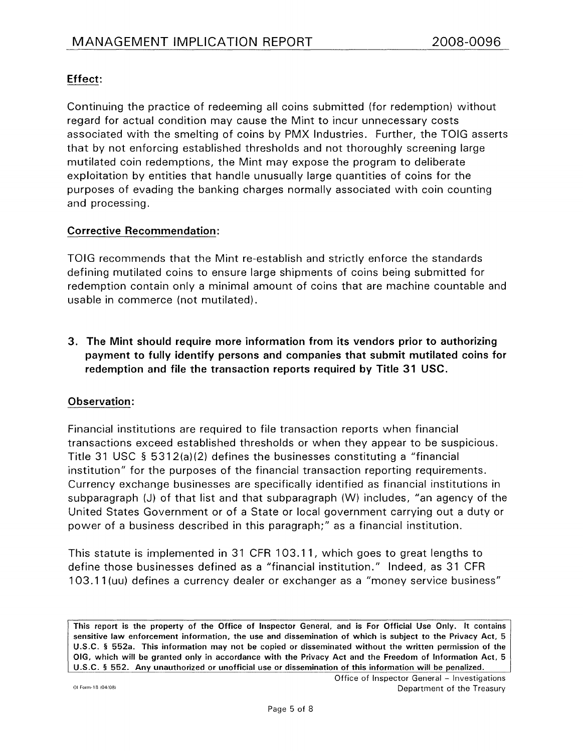# Effect:

Continuing the practice of redeeming all coins submitted (for redemption) without regard for actual condition may cause the Mint to incur unnecessary costs associated with the smelting of coins by PMX Industries. Further, the TOIG asserts that by not enforcing established thresholds and not thoroughly screening large mutilated coin redemptions, the Mint may expose the program to deliberate exploitation by entities that handle unusually large quantities of coins for the purposes of evading the banking charges normally associated with coin counting and processing.

# Corrective Recommendation:

TOIG recommends that the Mint re-establish and strictly enforce the standards defining mutilated coins to ensure large shipments of coins being submitted for redemption contain only a minimal amount of coins that are machine countable and usable in commerce (not mutilated).

3. The Mint should require more information from its vendors prior to authorizing payment to fully identify persons and companies that submit mutilated coins for redemption and file the transaction reports required by Title 31 USC.

# Observation:

Financial institutions are required to file transaction reports when financial transactions exceed established thresholds or when they appear to be suspicious. Title 31 USC § 5312(a)(2) defines the businesses constituting a "financial institution" for the purposes of the financial transaction reporting requirements. Currency exchange businesses are specifically identified as financial institutions in subparagraph (J) of that list and that subparagraph (W) includes, "an agency of the United States Government or of a State or local government carrying out a duty or power of a business described in this paragraph;" as a financial institution.

This statute is implemented in 31 CFR 103.11, which goes to great lengths to define those businesses defined as a "financial institution." Indeed, as 31 CFR 103.11 (uu) defines a currency dealer or exchanger as a "money service business"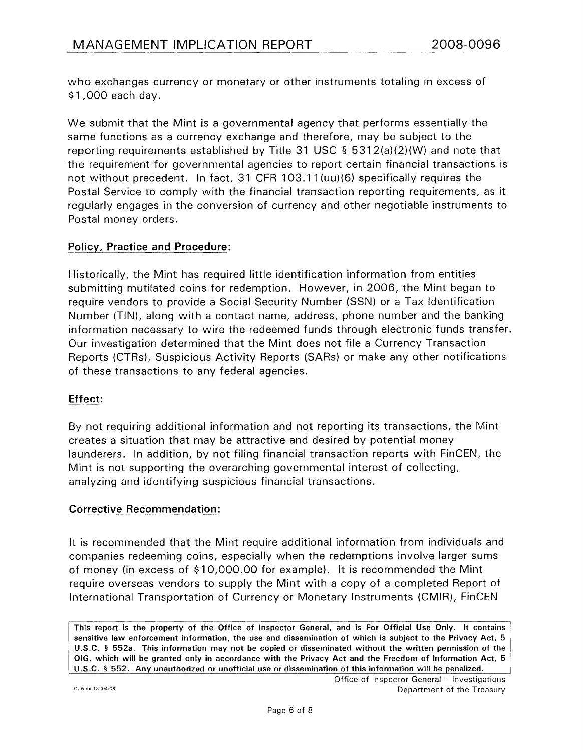who exchanges currency or monetary or other instruments totaling in excess of \$1 ,000 each day.

We submit that the Mint is a governmental agency that performs essentially the same functions as a currency exchange and therefore, may be subject to the reporting requirements established by Title 31 USC § 5312(a)(2)(W) and note that the requirement for governmental agencies to report certain financial transactions is not without precedent. In fact, 31 CFR 103.11 (uu)(6) specifically requires the Postal Service to comply with the financial transaction reporting requirements, as it regularly engages in the conversion of currency and other negotiable instruments to Postal money orders.

# Policy, Practice and Procedure:

Historically, the Mint has required little identification information from entities submitting mutilated coins for redemption. However, in 2006, the Mint began to require vendors to provide a Social Security Number (SSN) or a Tax Identification Number (TIN), along with a contact name, address, phone number and the banking information necessary to wire the redeemed funds through electronic funds transfer. Our investigation determined that the Mint does not file a Currency Transaction Reports (CTRs), Suspicious Activity Reports (SARs) or make any other notifications of these transactions to any federal agencies.

# Effect:

By not requiring additional information and not reporting its transactions, the Mint creates a situation that may be attractive and desired by potential money launderers. In addition, by not filing financial transaction reports with FinCEN, the Mint is not supporting the overarching governmental interest of collecting, analyzing and identifying suspicious financial transactions.

# Corrective Recommendation:

It is recommended that the Mint require additional information from individuals and companies redeeming coins, especially when the redemptions involve larger sums of money (in excess of \$10,000.00 for example). It is recommended the Mint require overseas vendors to supply the Mint with a copy of a completed Report of International Transportation of Currency or Monetary Instruments (CMIR), FinCEN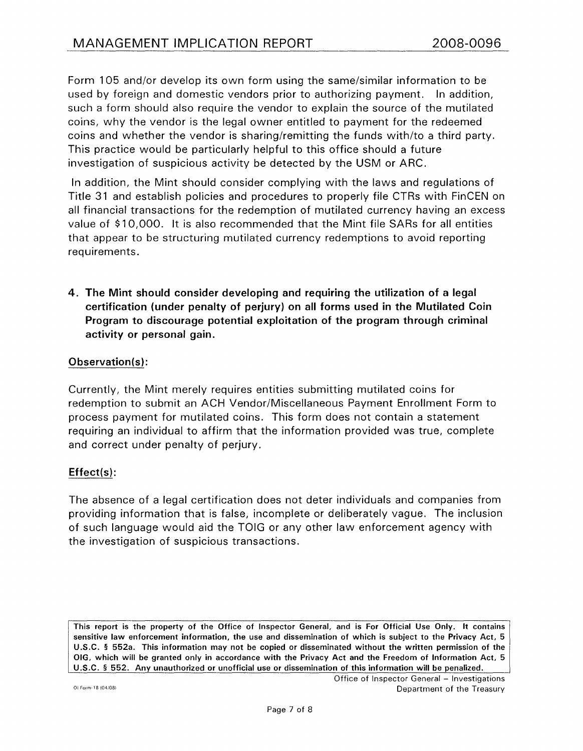Form 105 and/or develop its own form using the same/similar information to be used by foreign and domestic vendors prior to authorizing payment. In addition, such a form should also require the vendor to explain the source of the mutilated coins, why the vendor is the legal owner entitled to payment for the redeemed coins and whether the vendor is sharing/remitting the funds with/to a third party. This practice would be particularly helpful to this office should a future investigation of suspicious activity be detected by the USM or ARC.

In addition, the Mint should consider complying with the laws and regulations of Title 31 and establish policies and procedures to properly file CTRs with FinCEN on all financial transactions for the redemption of mutilated currency having an excess value of \$10,000. It is also recommended that the Mint file SARs for all entities that appear to be structuring mutilated currency redemptions to avoid reporting requirements.

4. The Mint should consider developing and requiring the utilization of a legal certification {under penalty of perjury) on all forms used in the Mutilated Coin Program to discourage potential exploitation of the program through criminal activity or personal gain.

#### Observation{s):

Currently, the Mint merely requires entities submitting mutilated coins for redemption to submit an ACH Vendor/Miscellaneous Payment Enrollment Form to process payment for mutilated coins. This form does not contain a statement requiring an individual to affirm that the information provided was true, complete and correct under penalty of perjury.

#### Effect{s):

The absence of a legal certification does not deter individuals and companies from providing information that is false, incomplete or deliberately vague. The inclusion of such language would aid the TOIG or any other law enforcement agency with the investigation of suspicious transactions.

This report is the property of the Office of Inspector General, and is For Official Use Only. It contains sensitive law enforcement information, the use and dissemination of which is subject to the Privacy Act, 5 U.S.C. § 552a. This information may not be copied or disseminated without the written permission of the OIG, which will be granted only in accordance with the Privacy Act and the Freedom of Information Act, 5 U.S.C. § 552. Any unauthorized or unofficial use or dissemination of this information will be penalized.

Office of Inspector General - Investigations Department of the Treasury